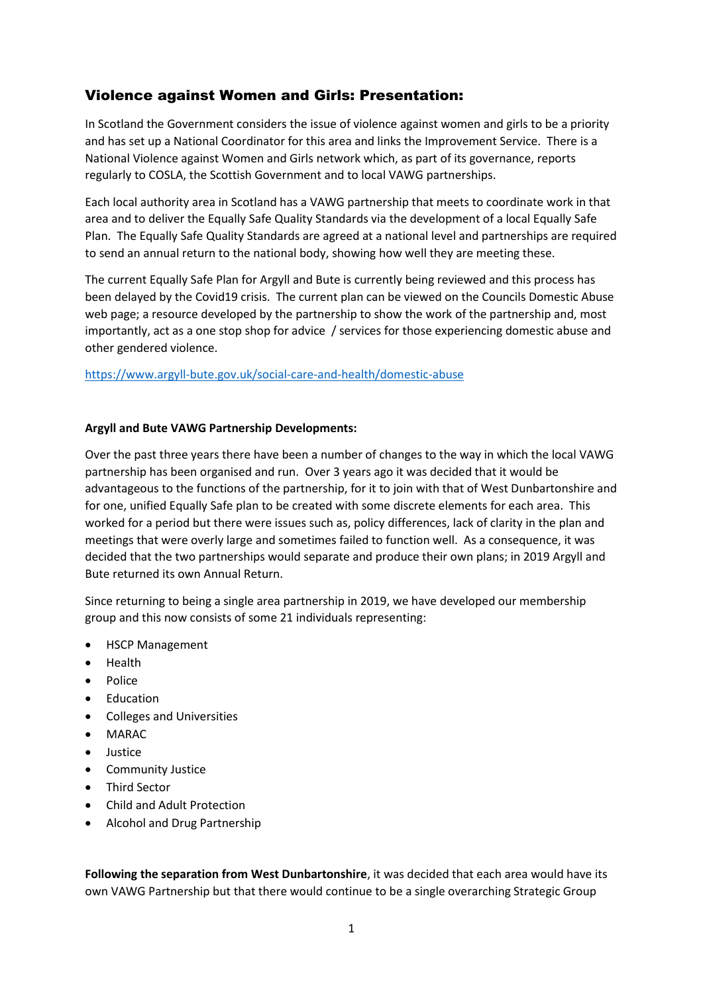## Violence against Women and Girls: Presentation:

In Scotland the Government considers the issue of violence against women and girls to be a priority and has set up a National Coordinator for this area and links the Improvement Service. There is a National Violence against Women and Girls network which, as part of its governance, reports regularly to COSLA, the Scottish Government and to local VAWG partnerships.

Each local authority area in Scotland has a VAWG partnership that meets to coordinate work in that area and to deliver the Equally Safe Quality Standards via the development of a local Equally Safe Plan. The Equally Safe Quality Standards are agreed at a national level and partnerships are required to send an annual return to the national body, showing how well they are meeting these.

The current Equally Safe Plan for Argyll and Bute is currently being reviewed and this process has been delayed by the Covid19 crisis. The current plan can be viewed on the Councils Domestic Abuse web page; a resource developed by the partnership to show the work of the partnership and, most importantly, act as a one stop shop for advice / services for those experiencing domestic abuse and other gendered violence.

<https://www.argyll-bute.gov.uk/social-care-and-health/domestic-abuse>

## **Argyll and Bute VAWG Partnership Developments:**

Over the past three years there have been a number of changes to the way in which the local VAWG partnership has been organised and run. Over 3 years ago it was decided that it would be advantageous to the functions of the partnership, for it to join with that of West Dunbartonshire and for one, unified Equally Safe plan to be created with some discrete elements for each area. This worked for a period but there were issues such as, policy differences, lack of clarity in the plan and meetings that were overly large and sometimes failed to function well. As a consequence, it was decided that the two partnerships would separate and produce their own plans; in 2019 Argyll and Bute returned its own Annual Return.

Since returning to being a single area partnership in 2019, we have developed our membership group and this now consists of some 21 individuals representing:

- HSCP Management
- Health
- Police
- Education
- Colleges and Universities
- MARAC
- Justice
- **•** Community Justice
- Third Sector
- Child and Adult Protection
- Alcohol and Drug Partnership

**Following the separation from West Dunbartonshire**, it was decided that each area would have its own VAWG Partnership but that there would continue to be a single overarching Strategic Group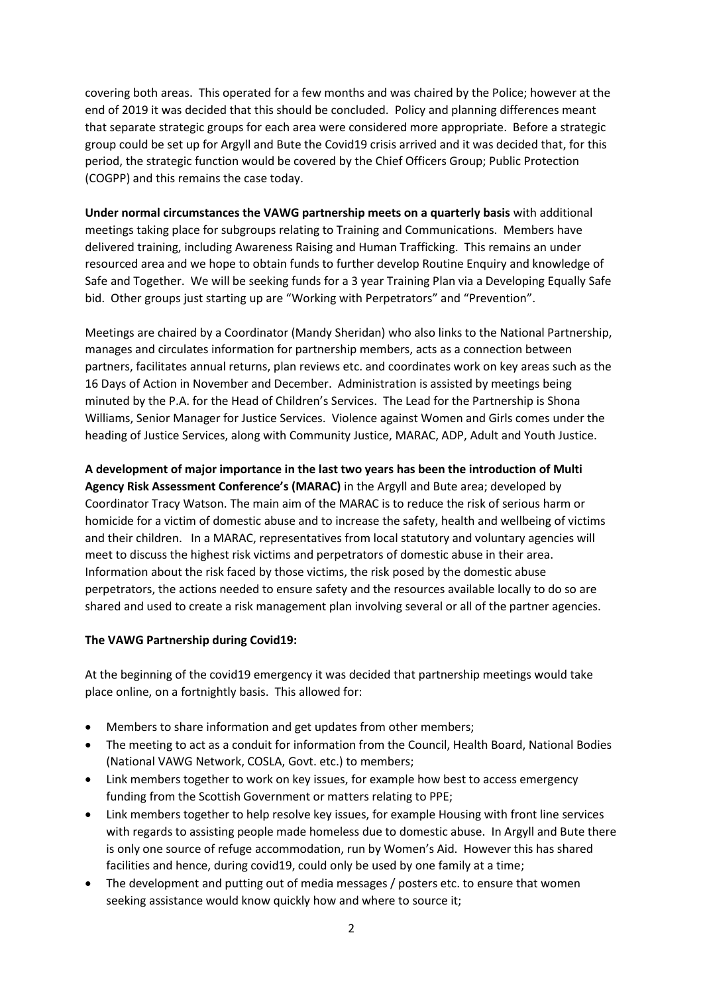covering both areas. This operated for a few months and was chaired by the Police; however at the end of 2019 it was decided that this should be concluded. Policy and planning differences meant that separate strategic groups for each area were considered more appropriate. Before a strategic group could be set up for Argyll and Bute the Covid19 crisis arrived and it was decided that, for this period, the strategic function would be covered by the Chief Officers Group; Public Protection (COGPP) and this remains the case today.

**Under normal circumstances the VAWG partnership meets on a quarterly basis** with additional meetings taking place for subgroups relating to Training and Communications. Members have delivered training, including Awareness Raising and Human Trafficking. This remains an under resourced area and we hope to obtain funds to further develop Routine Enquiry and knowledge of Safe and Together. We will be seeking funds for a 3 year Training Plan via a Developing Equally Safe bid. Other groups just starting up are "Working with Perpetrators" and "Prevention".

Meetings are chaired by a Coordinator (Mandy Sheridan) who also links to the National Partnership, manages and circulates information for partnership members, acts as a connection between partners, facilitates annual returns, plan reviews etc. and coordinates work on key areas such as the 16 Days of Action in November and December. Administration is assisted by meetings being minuted by the P.A. for the Head of Children's Services. The Lead for the Partnership is Shona Williams, Senior Manager for Justice Services. Violence against Women and Girls comes under the heading of Justice Services, along with Community Justice, MARAC, ADP, Adult and Youth Justice.

**A development of major importance in the last two years has been the introduction of Multi Agency Risk Assessment Conference's (MARAC)** in the Argyll and Bute area; developed by Coordinator Tracy Watson. The main aim of the MARAC is to reduce the risk of serious harm or homicide for a victim of domestic abuse and to increase the safety, health and wellbeing of victims and their children. In a MARAC, representatives from local statutory and voluntary agencies will meet to discuss the highest risk victims and perpetrators of domestic abuse in their area. Information about the risk faced by those victims, the risk posed by the domestic abuse perpetrators, the actions needed to ensure safety and the resources available locally to do so are shared and used to create a risk management plan involving several or all of the partner agencies.

## **The VAWG Partnership during Covid19:**

At the beginning of the covid19 emergency it was decided that partnership meetings would take place online, on a fortnightly basis. This allowed for:

- Members to share information and get updates from other members;
- The meeting to act as a conduit for information from the Council, Health Board, National Bodies (National VAWG Network, COSLA, Govt. etc.) to members;
- Link members together to work on key issues, for example how best to access emergency funding from the Scottish Government or matters relating to PPE;
- Link members together to help resolve key issues, for example Housing with front line services with regards to assisting people made homeless due to domestic abuse. In Argyll and Bute there is only one source of refuge accommodation, run by Women's Aid. However this has shared facilities and hence, during covid19, could only be used by one family at a time;
- The development and putting out of media messages / posters etc. to ensure that women seeking assistance would know quickly how and where to source it;